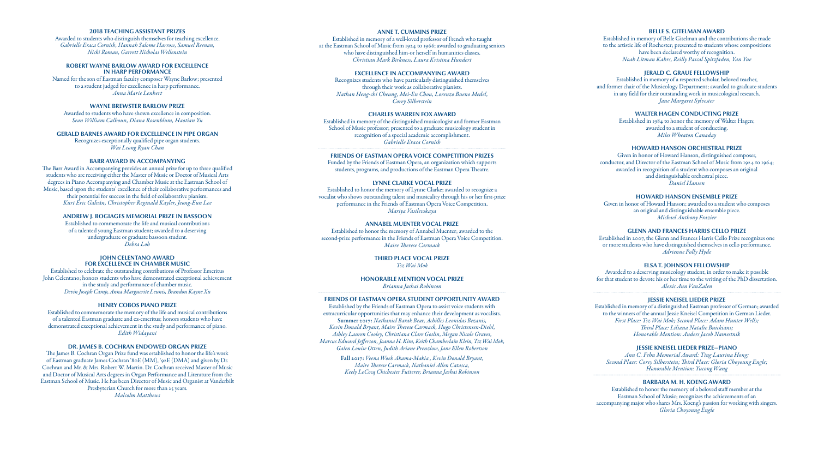#### **2018 TEACHING ASSISTANT PRIZES**

Awarded to students who distinguish themselves for teaching excellence. *Gabrielle Eraca Cornish, Hannah Salome Harrow, Samuel Reenan, Nicki Roman, Garrett Nicholas Wellenstein*

#### **ROBERT WAYNE BARLOW AWARD FOR EXCELLENCE IN HARP PERFORMANCE**

Named for the son of Eastman faculty composer Wayne Barlow; presented to a student judged for excellence in harp performance. *Anna Marie Lenhert*

## **WAYNE BREWSTER BARLOW PRIZE**

Awarded to students who have shown excellence in composition. *Sean William Calhoun, Diana Rosenblum, Haotian Yu*

**GERALD BARNES AWARD FOR EXCELLENCE IN PIPE ORGAN** Recognizes exceptionally qualified pipe organ students. *Wai Leong Ryan Chan*

#### **BARR AWARD IN ACCOMPANYING**

The Barr Award in Accompanying provides an annual prize for up to three qualified students who are receiving either the Master of Music or Doctor of Musical Arts degrees in Piano Accompanying and Chamber Music at the Eastman School of Music, based upon the students' excellence of their collaborative performances and their potential for success in the field of collaborative pianism. *Kurt Eric Galván, Christopher Reginald Kayler, Jeong-Eun Lee*

#### **ANDREW J. BOGIAGES MEMORIAL PRIZE IN BASSOON**

Established to commemorate the life and musical contributions of a talented young Eastman student; awarded to a deserving undergraduate or graduate bassoon student. *Debra Loh*

#### **JOHN CELENTANO AWARD FOR EXCELLENCE IN CHAMBER MUSIC**

Established to celebrate the outstanding contributions of Professor Emeritus John Celentano; honors students who have demonstrated exceptional achievement in the study and performance of chamber music. *Devin Joseph Camp, Anna Marguerite Leunis, Brandon Kayne Xu*

#### **HENRY COBOS PIANO PRIZE**

Established to commemorate the memory of the life and musical contributions of a talented Eastman graduate and ex-emeritus; honors students who have demonstrated exceptional achievement in the study and performance of piano. *Edith Widayani*

#### **DR. JAMES B. COCHRAN ENDOWED ORGAN PRIZE**

The James B. Cochran Organ Prize fund was established to honor the life's work of Eastman graduate James Cochran '80E (MM), '92E (DMA) and given by Dr. Cochran and Mr. & Mrs. Robert W. Martin. Dr. Cochran received Master of Music and Doctor of Musical Arts degrees in Organ Performance and Literature from the Eastman School of Music. He has been Director of Music and Organist at Vanderbilt Presbyterian Church for more than 25 years. *Malcolm Matthews* 

#### **ANNE T. CUMMINS PRIZE**

Established in memory of a well-loved professor of French who taught at the Eastman School of Music from 1924 to 1966; awarded to graduating seniors who have distinguished him-or herself in humanities classes. *Christian Mark Birkness, Laura Kristina Hundert*

# **EXCELLENCE IN ACCOMPANYING AWARD**

Recognizes students who have particularly distinguished themselves through their work as collaborative pianists. *Nathan Heng-chi Cheung, Mei-En Chou, Lorenzo Bueno Medel, Corey Silberstein*

#### **CHARLES WARREN FOX AWARD**

Established in memory of the distinguished musicologist and former Eastman School of Music professor; presented to a graduate musicology student in recognition of a special academic accomplishment. *Gabrielle Eraca Cornish*

#### **FRIENDS OF EASTMAN OPERA VOICE COMPETITION PRIZES**

Funded by the Friends of Eastman Opera, an organization which supports students, programs, and productions of the Eastman Opera Theatre.

# **LYNNE CLARKE VOCAL PRIZE**

Established to honor the memory of Lynne Clarke; awarded to recognize a vocalist who shows outstanding talent and musicality through his or her first-prize performance in the Friends of Eastman Opera Voice Competition. *Mariya Vasilevskaya*

# **ANNABEL MUENTER VOCAL PRIZE**

Established to honor the memory of Annabel Muenter; awarded to the second-prize performance in the Friends of Eastman Opera Voice Competition. *Maire Therese Carmack*

> **THIRD PLACE VOCAL PRIZE** *Tsz Wai Mok*

**HONORABLE MENTION VOCAL PRIZE** *Brianna Jashai Robinson*

#### **FRIENDS OF EASTMAN OPERA STUDENT OPPORTUNITY AWARD**

Established by the Friends of Eastman Opera to assist voice students with extracurricular opportunities that may enhance their development as vocalists. Summer 2017: *Nathaniel Barak Bear, Achilles Leonidas Bezanis, Kevin Donald Bryant, Maire Therese Carmack, Hugo Christensen-Diehl, Ashley Lauren Cooley, Christiana Clare Goslin, Megan Nicole Graves, Marcus Edward Jefferson, Joanna H. Kim, Keith Chamberlain Klein, Tsz Wai Mok, Galen Louise Otten, Judith Ariane Prenzlow, Jane Ellen Robertson*

> Fall 2017: *Veena Woeh Akama-Makia , Kevin Donald Bryant, Maire Therese Carmack, Nathaniel Allen Catasca, Keely LeCocq Chichester Futterer, Brianna Jashai Robinson*

# **BELLE S. GITELMAN AWARD**

Established in memory of Belle Gitelman and the contributions she made to the artistic life of Rochester; presented to students whose compositions have been declared worthy of recognition. *Noah Litman Kahrs, Reilly Pascal Spitzfaden, Yan Yue*

#### **JERALD C. GRAUE FELLOWSHIP**

Established in memory of a respected scholar, beloved teacher, and former chair of the Musicology Department; awarded to graduate students in any field for their outstanding work in musicological research. *Jane Margaret Sylvester*

# **WALTER HAGEN CONDUCTING PRIZE**

Established in 1984 to honor the memory of Walter Hagen; awarded to a student of conducting. *Miles Wheaton Canaday*

# **HOWARD HANSON ORCHESTRAL PRIZE**

Given in honor of Howard Hanson, distinguished composer, conductor, and Director of the Eastman School of Music from 1924 to 1964; awarded in recognition of a student who composes an original and distinguishable orchestral piece. *Daniel Hansen*

#### **HOWARD HANSON ENSEMBLE PRIZE**

Given in honor of Howard Hanson; awarded to a student who composes an original and distinguishable ensemble piece. *Michael Anthony Frazier* 

#### **GLENN AND FRANCES HARRIS CELLO PRIZE**

Established in 2007, the Glenn and Frances Harris Cello Prize recognizes one or more students who have distinguished themselves in cello performance. *Adrienne Polly Hyde*

# **ELSA T. JOHNSON FELLOWSHIP**

Awarded to a deserving musicology student, in order to make it possible for that student to devote his or her time to the writing of the PhD dissertation. *Alexis Ann VanZalen*

**JESSIE KNEISEL LIEDER PRIZE**

Established in memory of a distinguished Eastman professor of German; awarded to the winners of the annual Jessie Kneisel Competition in German Lieder. *First Place: Tsz Wai Mok; Second Place: Adam Hunter Wells; Third Place: Liliana Natalie Buickians; Honorable Mention: Anders Jacob Namestnik*

#### **JESSIE KNEISEL LIEDER PRIZE—PIANO**

*Ann C. Fehn Memorial Award: Ting Laurina Hong; Second Place: Corey Silberstein; Third Place: Gloria Choyoung Engle; Honorable Mention: Yucong Wang*

# **BARBARA M. H. KOENG AWARD**

Established to honor the memory of a beloved staff member at the Eastman School of Music; recognizes the achievements of an accompanying major who shares Mrs. Koeng's passion for working with singers. *Gloria Choyoung Engle*